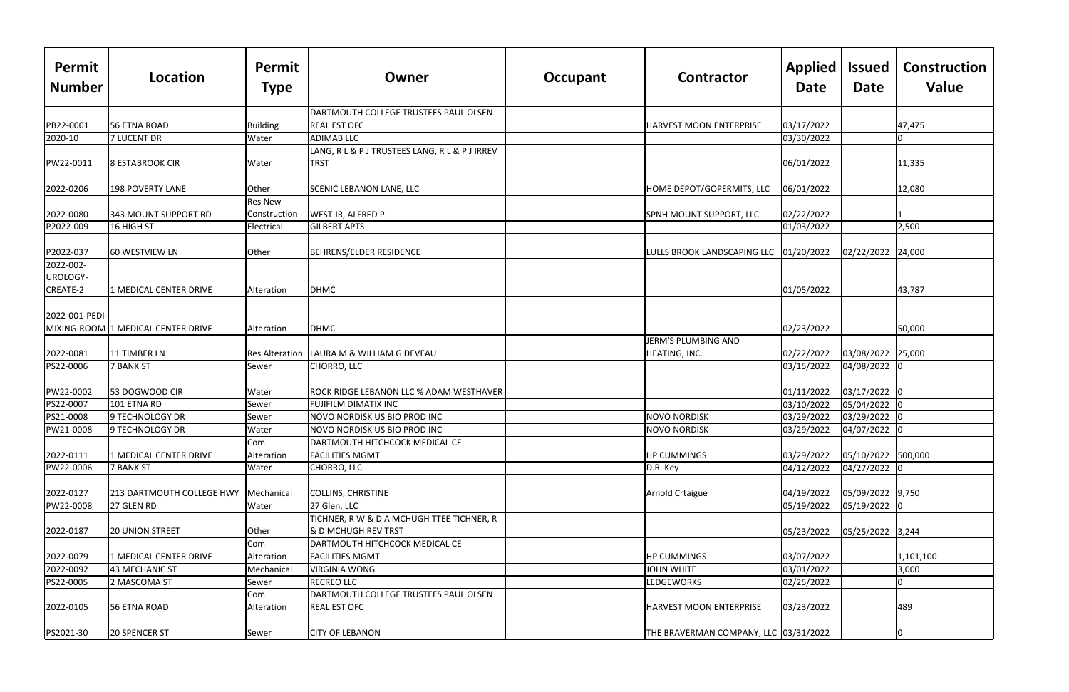| Permit<br><b>Number</b> | Location                                        | Permit<br><b>Type</b> | Owner                                                    | <b>Contractor</b><br>Occupant          | Applied<br><b>Date</b> | <b>Issued</b><br>Date | <b>Construction</b><br>Value |
|-------------------------|-------------------------------------------------|-----------------------|----------------------------------------------------------|----------------------------------------|------------------------|-----------------------|------------------------------|
|                         |                                                 |                       | DARTMOUTH COLLEGE TRUSTEES PAUL OLSEN                    |                                        |                        |                       |                              |
| PB22-0001               | 56 ETNA ROAD                                    | Building              | <b>REAL EST OFC</b>                                      | HARVEST MOON ENTERPRISE                | 03/17/2022             |                       | 47,475                       |
| 2020-10                 | <b>7 LUCENT DR</b>                              | Water                 | <b>ADIMAB LLC</b>                                        |                                        | 03/30/2022             |                       | 0                            |
|                         |                                                 |                       | LANG, R L & P J TRUSTEES LANG, R L & P J IRREV           |                                        |                        |                       |                              |
| PW22-0011               | 8 ESTABROOK CIR                                 | Water                 | TRST                                                     |                                        | 06/01/2022             |                       | 11,335                       |
| 2022-0206               | <b>198 POVERTY LANE</b>                         | Other                 | <b>SCENIC LEBANON LANE, LLC</b>                          | HOME DEPOT/GOPERMITS, LLC              | 06/01/2022             |                       | 12,080                       |
|                         |                                                 | <b>Res New</b>        |                                                          |                                        |                        |                       |                              |
| 2022-0080               | 343 MOUNT SUPPORT RD                            | Construction          | <b>WEST JR, ALFRED P</b>                                 | SPNH MOUNT SUPPORT, LLC                | 02/22/2022             |                       |                              |
| P2022-009               | 16 HIGH ST                                      | Electrical            | <b>GILBERT APTS</b>                                      |                                        | 01/03/2022             |                       | 2,500                        |
| P2022-037               | 60 WESTVIEW LN                                  | Other                 | BEHRENS/ELDER RESIDENCE                                  | LULLS BROOK LANDSCAPING LLC 01/20/2022 |                        | 02/22/2022 24,000     |                              |
| 2022-002-               |                                                 |                       |                                                          |                                        |                        |                       |                              |
| UROLOGY-                |                                                 |                       |                                                          |                                        |                        |                       |                              |
| CREATE-2                | 1 MEDICAL CENTER DRIVE                          | Alteration            | <b>DHMC</b>                                              |                                        | 01/05/2022             |                       | 43,787                       |
| 2022-001-PEDI-          |                                                 |                       |                                                          |                                        |                        |                       |                              |
|                         | MIXING-ROOM 1 MEDICAL CENTER DRIVE              | Alteration            | <b>DHMC</b>                                              |                                        | 02/23/2022             |                       | 50,000                       |
|                         |                                                 |                       |                                                          | JERM'S PLUMBING AND                    |                        |                       |                              |
| 2022-0081               | 11 TIMBER LN                                    | <b>Res Alteration</b> | LAURA M & WILLIAM G DEVEAU                               | HEATING, INC.                          | 02/22/2022             | 03/08/2022 25,000     |                              |
| PS22-0006               | <b>7 BANK ST</b>                                | Sewer                 | CHORRO, LLC                                              |                                        | 03/15/2022             | 04/08/2022 0          |                              |
| PW22-0002               | 53 DOGWOOD CIR                                  | Water                 | ROCK RIDGE LEBANON LLC % ADAM WESTHAVER                  |                                        | 01/11/2022             | 03/17/2022 0          |                              |
| PS22-0007               | 101 ETNA RD                                     | Sewer                 | <b>FUJIFILM DIMATIX INC</b>                              |                                        | 03/10/2022             | 05/04/2022 0          |                              |
| PS21-0008               | 9 TECHNOLOGY DR                                 | Sewer                 | NOVO NORDISK US BIO PROD INC                             | <b>NOVO NORDISK</b>                    | 03/29/2022             | 03/29/2022 0          |                              |
| PW21-0008               | 9 TECHNOLOGY DR                                 | Water                 | NOVO NORDISK US BIO PROD INC                             | <b>NOVO NORDISK</b>                    | 03/29/2022             | 04/07/2022 0          |                              |
| 2022-0111               | 1 MEDICAL CENTER DRIVE                          | Com<br>Alteration     | DARTMOUTH HITCHCOCK MEDICAL CE<br><b>FACILITIES MGMT</b> | <b>HP CUMMINGS</b>                     | 03/29/2022             | 05/10/2022 500,000    |                              |
| PW22-0006               | <b>7 BANK ST</b>                                | Water                 | CHORRO, LLC                                              | $D.R.$ Key                             | 04/12/2022             | 04/27/2022 0          |                              |
|                         |                                                 |                       |                                                          |                                        |                        |                       |                              |
| 2022-0127               | 213 DARTMOUTH COLLEGE HWY                       | Mechanical            | <b>COLLINS, CHRISTINE</b>                                | Arnold Crtaigue                        | 04/19/2022             | 05/09/2022 9,750      |                              |
| PW22-0008               | 27 GLEN RD                                      | Water                 | 27 Glen, LLC                                             |                                        | 05/19/2022             | 05/19/2022 0          |                              |
|                         |                                                 |                       | TICHNER, R W & D A MCHUGH TTEE TICHNER, R                |                                        |                        |                       |                              |
| 2022-0187               | <b>20 UNION STREET</b>                          | Other                 | & D MCHUGH REV TRST                                      |                                        | 05/23/2022             | 05/25/2022 3,244      |                              |
|                         |                                                 | Com                   | DARTMOUTH HITCHCOCK MEDICAL CE                           |                                        |                        |                       |                              |
| 2022-0079               | 1 MEDICAL CENTER DRIVE<br><b>43 MECHANIC ST</b> | Alteration            | <b>FACILITIES MGMT</b><br><b>VIRGINIA WONG</b>           | <b>HP CUMMINGS</b>                     | 03/07/2022             |                       | 1,101,100                    |
| 2022-0092               | 2 MASCOMA ST                                    | Mechanical            | RECREO LLC                                               | JOHN WHITE<br>LEDGEWORKS               | 03/01/2022             |                       | 3,000                        |
| PS22-0005               |                                                 | Sewer                 | DARTMOUTH COLLEGE TRUSTEES PAUL OLSEN                    |                                        | 02/25/2022             |                       |                              |
| 2022-0105               | 56 ETNA ROAD                                    | Com<br>Alteration     | REAL EST OFC                                             | <b>HARVEST MOON ENTERPRISE</b>         | 03/23/2022             |                       | 489                          |
| PS2021-30               | 20 SPENCER ST                                   | Sewer                 | <b>CITY OF LEBANON</b>                                   | THE BRAVERMAN COMPANY, LLC 03/31/2022  |                        |                       |                              |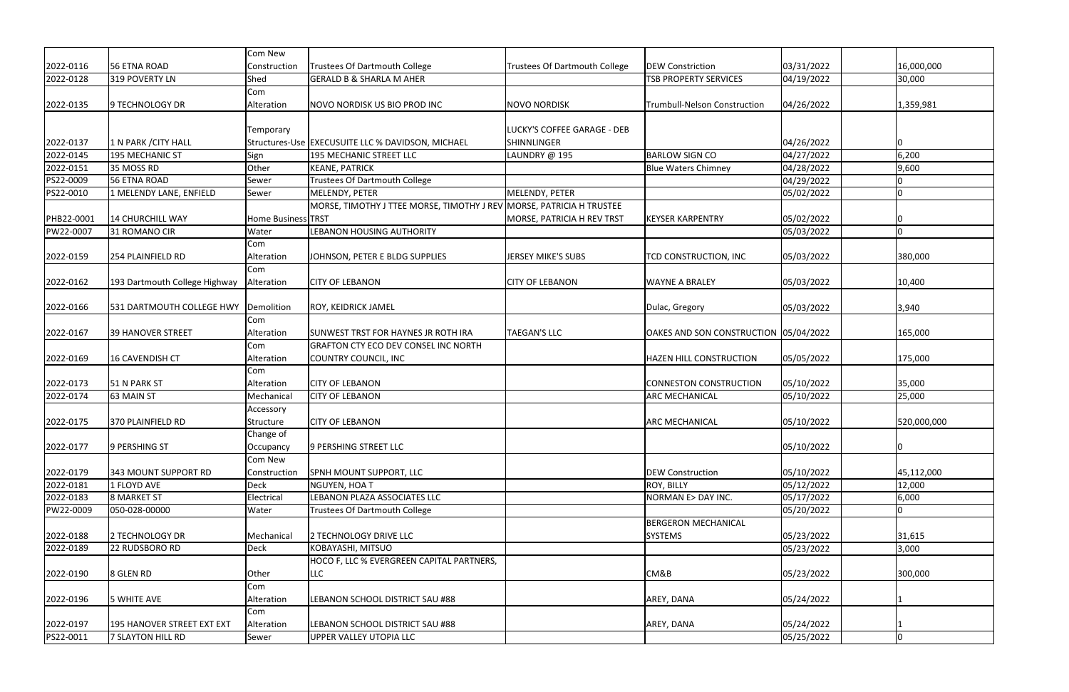|            |                               | Com New            |                                                                      |                                      |                                       |                          |                  |
|------------|-------------------------------|--------------------|----------------------------------------------------------------------|--------------------------------------|---------------------------------------|--------------------------|------------------|
| 2022-0116  | 56 ETNA ROAD                  | Construction       | <b>Trustees Of Dartmouth College</b>                                 | <b>Trustees Of Dartmouth College</b> | <b>DEW Constriction</b>               | 03/31/2022               | 16,000,000       |
| 2022-0128  | 319 POVERTY LN                | Shed               | <b>GERALD B &amp; SHARLA M AHER</b>                                  |                                      | <b>TSB PROPERTY SERVICES</b>          | 04/19/2022               | 30,000           |
|            |                               | Com                |                                                                      |                                      |                                       |                          |                  |
| 2022-0135  | 9 TECHNOLOGY DR               | Alteration         | NOVO NORDISK US BIO PROD INC                                         | <b>NOVO NORDISK</b>                  | Trumbull-Nelson Construction          | 04/26/2022               | 1,359,981        |
|            |                               |                    |                                                                      |                                      |                                       |                          |                  |
|            |                               | <b>Temporary</b>   |                                                                      | LUCKY'S COFFEE GARAGE - DEB          |                                       |                          |                  |
| 2022-0137  | 1 N PARK / CITY HALL          |                    | Structures-Use EXECUSUITE LLC % DAVIDSON, MICHAEL                    | <b>SHINNLINGER</b>                   |                                       | 04/26/2022               | ١O               |
| 2022-0145  | 195 MECHANIC ST               | Sign               | 195 MECHANIC STREET LLC                                              | LAUNDRY @ 195                        | <b>BARLOW SIGN CO</b>                 | 04/27/2022               | 6,200            |
| 2022-0151  | 35 MOSS RD                    | Other              | <b>KEANE, PATRICK</b>                                                |                                      | <b>Blue Waters Chimney</b>            | 04/28/2022               | 9,600            |
| PS22-0009  | 56 ETNA ROAD                  | Sewer              | <b>Trustees Of Dartmouth College</b>                                 |                                      |                                       | 04/29/2022               |                  |
| PS22-0010  | 1 MELENDY LANE, ENFIELD       | Sewer              | MELENDY, PETER                                                       | MELENDY, PETER                       |                                       | 05/02/2022               |                  |
|            |                               |                    | MORSE, TIMOTHY J TTEE MORSE, TIMOTHY J REV MORSE, PATRICIA H TRUSTEE |                                      |                                       |                          |                  |
| PHB22-0001 | 14 CHURCHILL WAY              | Home Business TRST |                                                                      | MORSE, PATRICIA H REV TRST           | <b>KEYSER KARPENTRY</b>               | 05/02/2022               |                  |
| PW22-0007  | 31 ROMANO CIR                 | Water              | <b>LEBANON HOUSING AUTHORITY</b>                                     |                                      |                                       | 05/03/2022               | ۱n               |
|            |                               | Com                |                                                                      |                                      |                                       |                          |                  |
| 2022-0159  | 254 PLAINFIELD RD             | Alteration         | JOHNSON, PETER E BLDG SUPPLIES                                       | <b>JERSEY MIKE'S SUBS</b>            | <b>TCD CONSTRUCTION, INC</b>          | 05/03/2022               | 380,000          |
|            |                               | Com                |                                                                      |                                      |                                       |                          |                  |
| 2022-0162  | 193 Dartmouth College Highway | Alteration         | <b>CITY OF LEBANON</b>                                               | <b>CITY OF LEBANON</b>               | <b>WAYNE A BRALEY</b>                 | 05/03/2022               | 10,400           |
|            |                               |                    |                                                                      |                                      |                                       |                          |                  |
| 2022-0166  | 531 DARTMOUTH COLLEGE HWY     | Demolition         | ROY, KEIDRICK JAMEL                                                  |                                      | Dulac, Gregory                        | 05/03/2022               | 3,940            |
|            |                               | Com                |                                                                      |                                      |                                       |                          |                  |
| 2022-0167  | 39 HANOVER STREET             | Alteration         | <b>SUNWEST TRST FOR HAYNES JR ROTH IRA</b>                           | <b>TAEGAN'S LLC</b>                  | OAKES AND SON CONSTRUCTION 05/04/2022 |                          | 165,000          |
|            |                               | Com                | <b>GRAFTON CTY ECO DEV CONSEL INC NORTH</b>                          |                                      |                                       |                          |                  |
| 2022-0169  | 16 CAVENDISH CT               | Alteration         | COUNTRY COUNCIL, INC                                                 |                                      | <b>HAZEN HILL CONSTRUCTION</b>        | 05/05/2022               | 175,000          |
| 2022-0173  | 51 N PARK ST                  | Com<br>Alteration  | <b>CITY OF LEBANON</b>                                               |                                      | CONNESTON CONSTRUCTION                |                          |                  |
| 2022-0174  | 63 MAIN ST                    | Mechanical         | <b>CITY OF LEBANON</b>                                               |                                      | <b>ARC MECHANICAL</b>                 | 05/10/2022<br>05/10/2022 | 35,000<br>25,000 |
|            |                               | Accessory          |                                                                      |                                      |                                       |                          |                  |
| 2022-0175  | 370 PLAINFIELD RD             | Structure          | <b>CITY OF LEBANON</b>                                               |                                      | <b>ARC MECHANICAL</b>                 | 05/10/2022               | 520,000,000      |
|            |                               | Change of          |                                                                      |                                      |                                       |                          |                  |
| 2022-0177  | 9 PERSHING ST                 | Occupancy          | 9 PERSHING STREET LLC                                                |                                      |                                       | 05/10/2022               | 10               |
|            |                               | Com New            |                                                                      |                                      |                                       |                          |                  |
| 2022-0179  | 343 MOUNT SUPPORT RD          | Construction       | SPNH MOUNT SUPPORT, LLC                                              |                                      | <b>DEW Construction</b>               | 05/10/2022               | 45,112,000       |
| 2022-0181  | 1 FLOYD AVE                   | Deck               | NGUYEN, HOA T                                                        |                                      | <b>ROY, BILLY</b>                     | 05/12/2022               | 12,000           |
| 2022-0183  | 8 MARKET ST                   | Electrical         | LEBANON PLAZA ASSOCIATES LLC                                         |                                      | NORMAN E> DAY INC.                    | 05/17/2022               | 6,000            |
| PW22-0009  | 050-028-00000                 | Water              | <b>Trustees Of Dartmouth College</b>                                 |                                      |                                       | 05/20/2022               | 0                |
|            |                               |                    |                                                                      |                                      | <b>BERGERON MECHANICAL</b>            |                          |                  |
| 2022-0188  | 2 TECHNOLOGY DR               | Mechanical         | 2 TECHNOLOGY DRIVE LLC                                               |                                      | <b>SYSTEMS</b>                        | 05/23/2022               | 31,615           |
| 2022-0189  | 22 RUDSBORO RD                | Deck               | KOBAYASHI, MITSUO                                                    |                                      |                                       | 05/23/2022               | 3,000            |
|            |                               |                    | HOCO F, LLC % EVERGREEN CAPITAL PARTNERS,                            |                                      |                                       |                          |                  |
| 2022-0190  | 8 GLEN RD                     | Other              | <b>LLC</b>                                                           |                                      | CM&B                                  | 05/23/2022               | 300,000          |
|            |                               | Com                |                                                                      |                                      |                                       |                          |                  |
| 2022-0196  | 5 WHITE AVE                   | Alteration         | LEBANON SCHOOL DISTRICT SAU #88                                      |                                      | AREY, DANA                            | 05/24/2022               |                  |
|            |                               | Com                |                                                                      |                                      |                                       |                          |                  |
| 2022-0197  | 195 HANOVER STREET EXT EXT    | Alteration         | LEBANON SCHOOL DISTRICT SAU #88                                      |                                      | AREY, DANA                            | 05/24/2022               |                  |
| PS22-0011  | 7 SLAYTON HILL RD             | Sewer              | UPPER VALLEY UTOPIA LLC                                              |                                      |                                       | 05/25/2022               | 0                |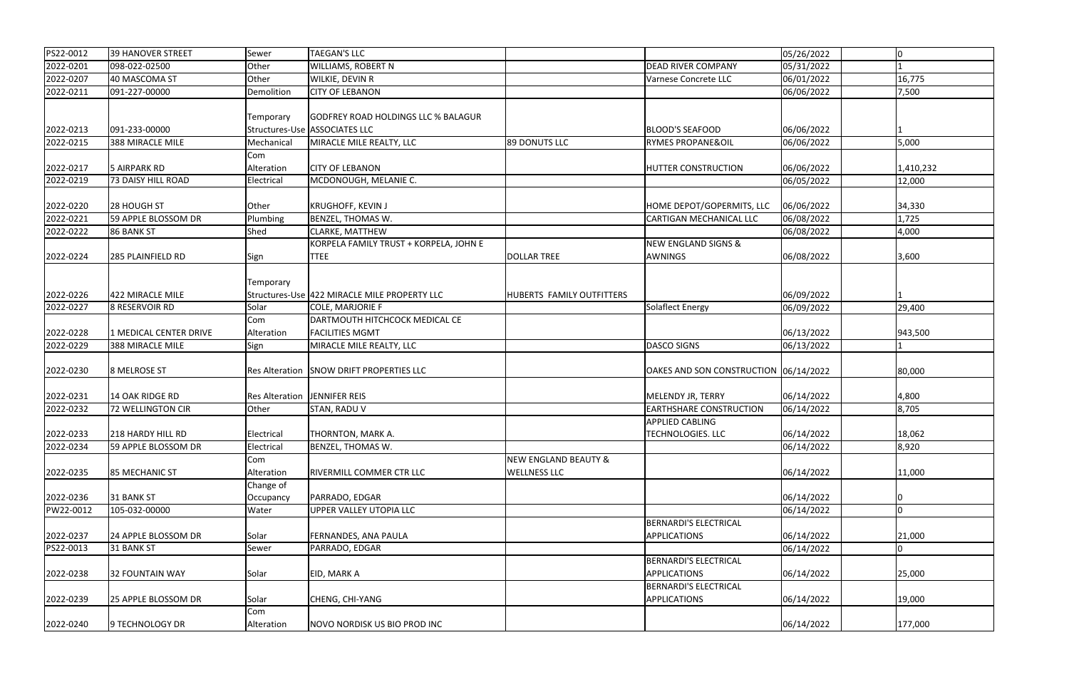| PS22-0012 | 39 HANOVER STREET      | Sewer                  | <b>TAEGAN'S LLC</b>                                                         |                                                        |                                                                              | 05/26/2022 | $\Omega$  |
|-----------|------------------------|------------------------|-----------------------------------------------------------------------------|--------------------------------------------------------|------------------------------------------------------------------------------|------------|-----------|
| 2022-0201 | 098-022-02500          | Other                  | <b>WILLIAMS, ROBERT N</b>                                                   |                                                        | <b>DEAD RIVER COMPANY</b>                                                    | 05/31/2022 |           |
| 2022-0207 | 40 MASCOMA ST          | Other                  | WILKIE, DEVIN R                                                             |                                                        | Varnese Concrete LLC                                                         | 06/01/2022 | 16,775    |
| 2022-0211 | 091-227-00000          | Demolition             | <b>CITY OF LEBANON</b>                                                      |                                                        |                                                                              | 06/06/2022 | 7,500     |
| 2022-0213 | 091-233-00000          | Temporary              | <b>GODFREY ROAD HOLDINGS LLC % BALAGUR</b><br>Structures-Use ASSOCIATES LLC |                                                        | <b>BLOOD'S SEAFOOD</b>                                                       | 06/06/2022 |           |
| 2022-0215 | 388 MIRACLE MILE       | Mechanical             | MIRACLE MILE REALTY, LLC                                                    | 89 DONUTS LLC                                          | <b>RYMES PROPANE&amp;OIL</b>                                                 | 06/06/2022 | 5,000     |
|           |                        | Com                    |                                                                             |                                                        |                                                                              |            |           |
| 2022-0217 | 5 AIRPARK RD           | Alteration             | <b>CITY OF LEBANON</b>                                                      |                                                        | <b>HUTTER CONSTRUCTION</b>                                                   | 06/06/2022 | 1,410,232 |
| 2022-0219 | 73 DAISY HILL ROAD     | Electrical             | MCDONOUGH, MELANIE C.                                                       |                                                        |                                                                              | 06/05/2022 | 12,000    |
|           |                        |                        |                                                                             |                                                        |                                                                              |            |           |
| 2022-0220 | 28 HOUGH ST            | Other                  | <b>KRUGHOFF, KEVIN J</b>                                                    |                                                        | HOME DEPOT/GOPERMITS, LLC                                                    | 06/06/2022 | 34,330    |
| 2022-0221 | 59 APPLE BLOSSOM DR    | Plumbing               | BENZEL, THOMAS W.                                                           |                                                        | CARTIGAN MECHANICAL LLC                                                      | 06/08/2022 | 1,725     |
| 2022-0222 | 86 BANK ST             | Shed                   | CLARKE, MATTHEW                                                             |                                                        |                                                                              | 06/08/2022 | 4,000     |
|           |                        |                        | KORPELA FAMILY TRUST + KORPELA, JOHN E                                      |                                                        | NEW ENGLAND SIGNS &                                                          |            |           |
| 2022-0224 | 285 PLAINFIELD RD      | Sign                   | <b>TTEE</b>                                                                 | <b>DOLLAR TREE</b>                                     | AWNINGS                                                                      | 06/08/2022 | 3,600     |
| 2022-0226 | 422 MIRACLE MILE       | Temporary              | Structures-Use 422 MIRACLE MILE PROPERTY LLC                                | HUBERTS FAMILY OUTFITTERS                              |                                                                              | 06/09/2022 |           |
| 2022-0227 | 8 RESERVOIR RD         | Solar                  | <b>COLE, MARJORIE F</b>                                                     |                                                        | Solaflect Energy                                                             | 06/09/2022 | 29,400    |
|           |                        | Com                    | DARTMOUTH HITCHCOCK MEDICAL CE                                              |                                                        |                                                                              |            |           |
| 2022-0228 | 1 MEDICAL CENTER DRIVE | Alteration             | <b>FACILITIES MGMT</b>                                                      |                                                        |                                                                              | 06/13/2022 | 943,500   |
| 2022-0229 | 388 MIRACLE MILE       |                        | MIRACLE MILE REALTY, LLC                                                    |                                                        | <b>DASCO SIGNS</b>                                                           | 06/13/2022 |           |
|           |                        | Sign                   |                                                                             |                                                        |                                                                              |            |           |
| 2022-0230 | 8 MELROSE ST           | <b>Res Alteration</b>  | <b>SNOW DRIFT PROPERTIES LLC</b>                                            |                                                        | OAKES AND SON CONSTRUCTION 06/14/2022                                        |            | 80,000    |
| 2022-0231 | 14 OAK RIDGE RD        | <b>Res Alteration</b>  | JENNIFER REIS                                                               |                                                        | MELENDY JR, TERRY                                                            | 06/14/2022 | 4,800     |
| 2022-0232 | 72 WELLINGTON CIR      | Other                  | STAN, RADU V                                                                |                                                        | <b>EARTHSHARE CONSTRUCTION</b>                                               | 06/14/2022 | 8,705     |
| 2022-0233 | 218 HARDY HILL RD      | Electrical             | <b>THORNTON, MARK A.</b>                                                    |                                                        | <b>APPLIED CABLING</b><br><b>TECHNOLOGIES. LLC</b>                           | 06/14/2022 | 18,062    |
| 2022-0234 | 59 APPLE BLOSSOM DR    | Electrical             | BENZEL, THOMAS W.                                                           |                                                        |                                                                              | 06/14/2022 | 8,920     |
| 2022-0235 | <b>85 MECHANIC ST</b>  | Com<br>Alteration      | RIVERMILL COMMER CTR LLC                                                    | <b>NEW ENGLAND BEAUTY &amp;</b><br><b>WELLNESS LLC</b> |                                                                              | 06/14/2022 | 11,000    |
| 2022-0236 | 31 BANK ST             | Change of<br>Occupancy | PARRADO, EDGAR                                                              |                                                        |                                                                              | 06/14/2022 |           |
| PW22-0012 | 105-032-00000          | Water                  | UPPER VALLEY UTOPIA LLC                                                     |                                                        |                                                                              | 06/14/2022 | 0         |
| 2022-0237 | 24 APPLE BLOSSOM DR    | Solar                  | FERNANDES, ANA PAULA                                                        |                                                        | <b>BERNARDI'S ELECTRICAL</b><br>APPLICATIONS                                 | 06/14/2022 | 21,000    |
| PS22-0013 | 31 BANK ST             | Sewer                  | PARRADO, EDGAR                                                              |                                                        |                                                                              | 06/14/2022 | O         |
| 2022-0238 | <b>32 FOUNTAIN WAY</b> | Solar                  | EID, MARK A                                                                 |                                                        | <b>BERNARDI'S ELECTRICAL</b><br>APPLICATIONS<br><b>BERNARDI'S ELECTRICAL</b> | 06/14/2022 | 25,000    |
| 2022-0239 | 25 APPLE BLOSSOM DR    | Solar                  | CHENG, CHI-YANG                                                             |                                                        | <b>APPLICATIONS</b>                                                          | 06/14/2022 | 19,000    |
| 2022-0240 | 9 TECHNOLOGY DR        | Com<br>Alteration      | NOVO NORDISK US BIO PROD INC                                                |                                                        |                                                                              | 06/14/2022 | 177,000   |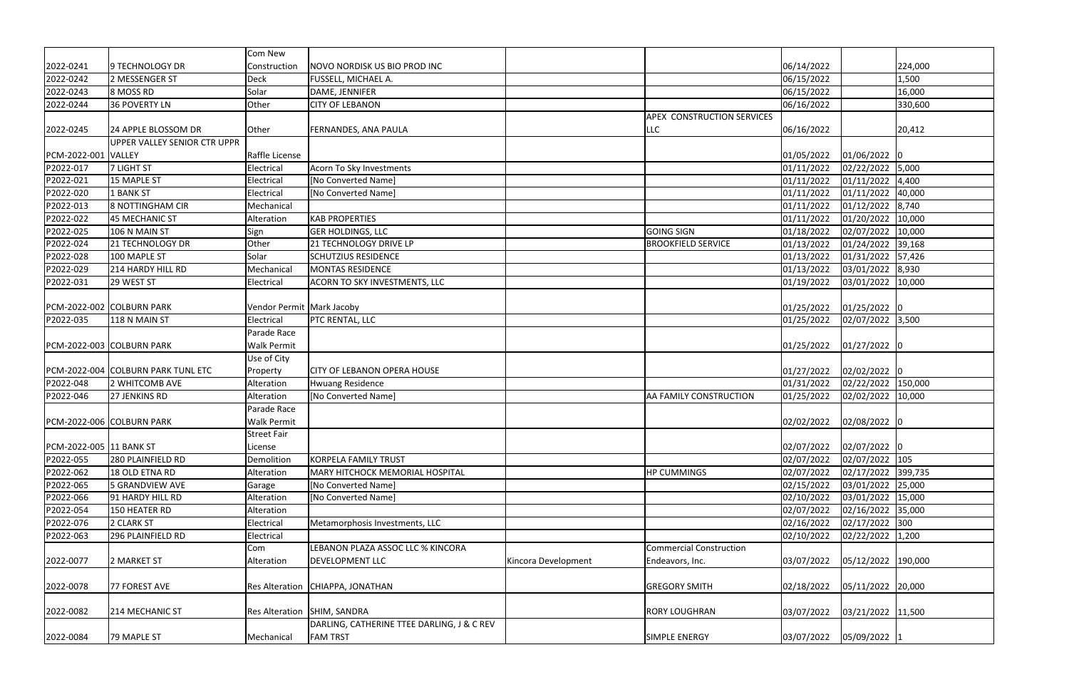|                         |                                    | Com New                     |                                                                             |                     |                                |            |                    |
|-------------------------|------------------------------------|-----------------------------|-----------------------------------------------------------------------------|---------------------|--------------------------------|------------|--------------------|
| 2022-0241               | 9 TECHNOLOGY DR                    | Construction                | NOVO NORDISK US BIO PROD INC                                                |                     |                                | 06/14/2022 | 224,000            |
| 2022-0242               | 2 MESSENGER ST                     | Deck                        | FUSSELL, MICHAEL A.                                                         |                     |                                | 06/15/2022 | 1,500              |
| 2022-0243               | 8 MOSS RD                          | Solar                       | DAME, JENNIFER                                                              |                     |                                | 06/15/2022 | 16,000             |
| 2022-0244               | 36 POVERTY LN                      | Other                       | <b>CITY OF LEBANON</b>                                                      |                     |                                | 06/16/2022 | 330,600            |
|                         |                                    |                             |                                                                             |                     | APEX CONSTRUCTION SERVICES     |            |                    |
| 2022-0245               | 24 APPLE BLOSSOM DR                | Other                       | FERNANDES, ANA PAULA                                                        |                     | LLC                            | 06/16/2022 | 20,412             |
|                         | UPPER VALLEY SENIOR CTR UPPR       |                             |                                                                             |                     |                                |            |                    |
| PCM-2022-001 VALLEY     |                                    | Raffle License              |                                                                             |                     |                                | 01/05/2022 | 01/06/2022 0       |
| P2022-017               | 7 LIGHT ST                         | Electrical                  | Acorn To Sky Investments                                                    |                     |                                | 01/11/2022 | 02/22/2022 5,000   |
| P2022-021               | 15 MAPLE ST                        | Electrical                  | [No Converted Name]                                                         |                     |                                | 01/11/2022 | 01/11/2022 4,400   |
| P2022-020               | 1 BANK ST                          | Electrical                  | [No Converted Name]                                                         |                     |                                | 01/11/2022 | 01/11/2022 40,000  |
| P2022-013               | 8 NOTTINGHAM CIR                   | Mechanical                  |                                                                             |                     |                                | 01/11/2022 | 01/12/2022 8,740   |
| P2022-022               | 45 MECHANIC ST                     | Alteration                  | <b>KAB PROPERTIES</b>                                                       |                     |                                | 01/11/2022 | 01/20/2022 10,000  |
| P2022-025               | 106 N MAIN ST                      | Sign                        | <b>GER HOLDINGS, LLC</b>                                                    |                     | <b>GOING SIGN</b>              | 01/18/2022 | 02/07/2022 10,000  |
| P2022-024               | 21 TECHNOLOGY DR                   | Other                       | 21 TECHNOLOGY DRIVE LP                                                      |                     | <b>BROOKFIELD SERVICE</b>      | 01/13/2022 | 01/24/2022 39,168  |
| P2022-028               | 100 MAPLE ST                       | Solar                       | <b>SCHUTZIUS RESIDENCE</b>                                                  |                     |                                | 01/13/2022 | 01/31/2022 57,426  |
| P2022-029               | 214 HARDY HILL RD                  | Mechanical                  | <b>MONTAS RESIDENCE</b>                                                     |                     |                                | 01/13/2022 | 03/01/2022 8,930   |
| P2022-031               | 29 WEST ST                         | Electrical                  | ACORN TO SKY INVESTMENTS, LLC                                               |                     |                                | 01/19/2022 | 03/01/2022 10,000  |
|                         |                                    |                             |                                                                             |                     |                                |            |                    |
|                         | PCM-2022-002 COLBURN PARK          | Vendor Permit   Mark Jacoby |                                                                             |                     |                                | 01/25/2022 | 01/25/2022 0       |
| P2022-035               | 118 N MAIN ST                      | Electrical                  | PTC RENTAL, LLC                                                             |                     |                                | 01/25/2022 | 02/07/2022 3,500   |
|                         |                                    | Parade Race                 |                                                                             |                     |                                |            |                    |
|                         | PCM-2022-003 COLBURN PARK          | <b>Walk Permit</b>          |                                                                             |                     |                                | 01/25/2022 | 01/27/2022 0       |
|                         |                                    | Use of City                 |                                                                             |                     |                                |            |                    |
|                         | PCM-2022-004 COLBURN PARK TUNL ETC | Property                    | <b>CITY OF LEBANON OPERA HOUSE</b>                                          |                     |                                | 01/27/2022 | 02/02/2022 0       |
| P2022-048               | 2 WHITCOMB AVE                     | Alteration                  | <b>Hwuang Residence</b>                                                     |                     |                                | 01/31/2022 | 02/22/2022 150,000 |
| P2022-046               | 27 JENKINS RD                      | Alteration                  | [No Converted Name]                                                         |                     | AA FAMILY CONSTRUCTION         | 01/25/2022 | 02/02/2022 10,000  |
|                         |                                    | Parade Race                 |                                                                             |                     |                                |            |                    |
|                         | PCM-2022-006 COLBURN PARK          | <b>Walk Permit</b>          |                                                                             |                     |                                | 02/02/2022 | 02/08/2022 0       |
|                         |                                    | Street Fair                 |                                                                             |                     |                                |            |                    |
| PCM-2022-005 11 BANK ST |                                    | License                     |                                                                             |                     |                                | 02/07/2022 | 02/07/2022 0       |
| P2022-055               | 280 PLAINFIELD RD                  | Demolition                  | KORPELA FAMILY TRUST                                                        |                     |                                | 02/07/2022 | 02/07/2022 105     |
| P2022-062               | 18 OLD ETNA RD                     | Alteration                  | MARY HITCHOCK MEMORIAL HOSPITAL                                             |                     | <b>HP CUMMINGS</b>             | 02/07/2022 | 02/17/2022 399,735 |
| P2022-065               | 5 GRANDVIEW AVE                    | Garage                      | [No Converted Name]                                                         |                     |                                | 02/15/2022 | 03/01/2022 25,000  |
| P2022-066               | 91 HARDY HILL RD                   | Alteration                  | [No Converted Name]                                                         |                     |                                | 02/10/2022 | 03/01/2022 15,000  |
| P2022-054               | 150 HEATER RD                      | Alteration                  |                                                                             |                     |                                | 02/07/2022 | 02/16/2022 35,000  |
| P2022-076               | 2 CLARK ST                         | Electrical                  | Metamorphosis Investments, LLC                                              |                     |                                | 02/16/2022 | 02/17/2022 300     |
| P2022-063               | 296 PLAINFIELD RD                  | Electrical                  |                                                                             |                     |                                | 02/10/2022 | 02/22/2022 1,200   |
|                         |                                    | Com                         | LEBANON PLAZA ASSOC LLC % KINCORA                                           |                     | <b>Commercial Construction</b> |            |                    |
| 2022-0077               | 2 MARKET ST                        | Alteration                  | DEVELOPMENT LLC                                                             | Kincora Development | Endeavors, Inc.                | 03/07/2022 | 05/12/2022 190,000 |
|                         |                                    |                             |                                                                             |                     |                                |            |                    |
| 2022-0078               | 77 FOREST AVE                      | Res Alteration              | CHIAPPA, JONATHAN                                                           |                     | <b>GREGORY SMITH</b>           | 02/18/2022 | 05/11/2022 20,000  |
|                         |                                    |                             |                                                                             |                     |                                |            |                    |
| 2022-0082               | 214 MECHANIC ST                    |                             | Res Alteration   SHIM, SANDRA<br>DARLING, CATHERINE TTEE DARLING, J & C REV |                     | <b>RORY LOUGHRAN</b>           | 03/07/2022 | 03/21/2022 11,500  |
|                         |                                    |                             | <b>FAM TRST</b>                                                             |                     | SIMPLE ENERGY                  |            |                    |
| 2022-0084               | 79 MAPLE ST                        | Mechanical                  |                                                                             |                     |                                | 03/07/2022 | 05/09/2022 1       |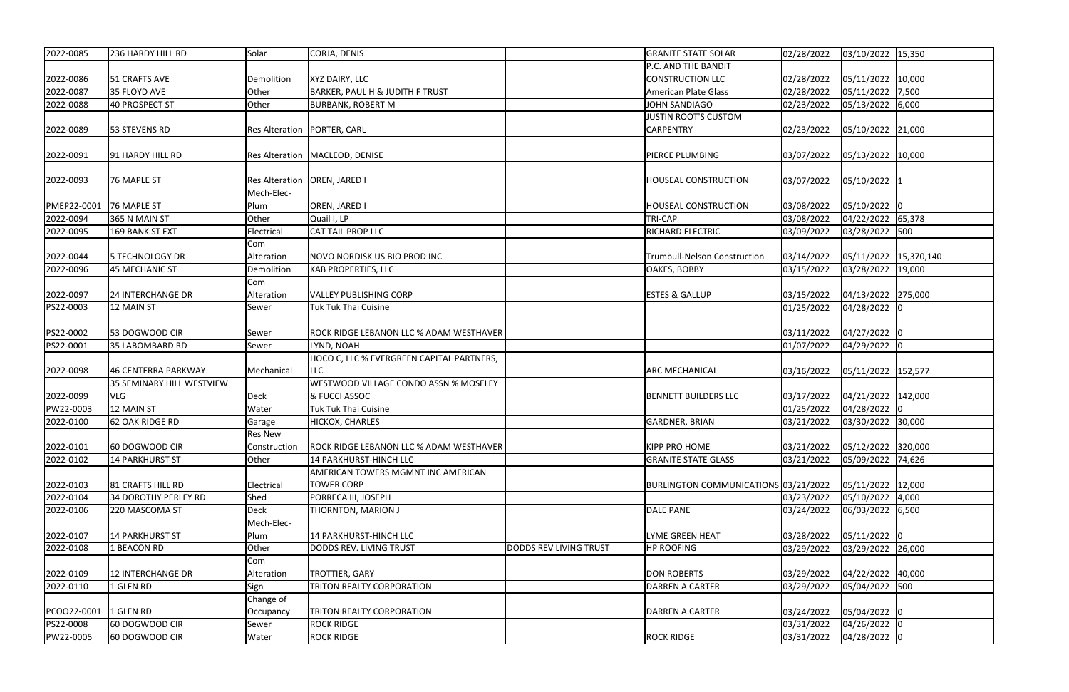| 2022-0085   | 236 HARDY HILL RD           | Solar             | CORJA, DENIS                                            |                               | <b>GRANITE STATE SOLAR</b>           | 02/28/2022 | 03/10/2022 15,350     |  |
|-------------|-----------------------------|-------------------|---------------------------------------------------------|-------------------------------|--------------------------------------|------------|-----------------------|--|
|             |                             |                   |                                                         |                               | P.C. AND THE BANDIT                  |            |                       |  |
| 2022-0086   | 51 CRAFTS AVE               | Demolition        | XYZ DAIRY, LLC                                          |                               | CONSTRUCTION LLC                     | 02/28/2022 | 05/11/2022 10,000     |  |
| 2022-0087   | 35 FLOYD AVE                | Other             | <b>BARKER, PAUL H &amp; JUDITH F TRUST</b>              |                               | American Plate Glass                 | 02/28/2022 | 05/11/2022 7,500      |  |
| 2022-0088   | 40 PROSPECT ST              | Other             | <b>BURBANK, ROBERT M</b>                                |                               | JOHN SANDIAGO                        | 02/23/2022 | 05/13/2022 6,000      |  |
|             |                             |                   |                                                         |                               | JUSTIN ROOT'S CUSTOM                 |            |                       |  |
| 2022-0089   | 53 STEVENS RD               |                   | Res Alteration   PORTER, CARL                           |                               | <b>CARPENTRY</b>                     | 02/23/2022 | 05/10/2022 21,000     |  |
| 2022-0091   | 91 HARDY HILL RD            |                   | Res Alteration   MACLEOD, DENISE                        |                               | <b>PIERCE PLUMBING</b>               | 03/07/2022 | 05/13/2022 10,000     |  |
| 2022-0093   | 76 MAPLE ST                 |                   | Res Alteration   OREN, JARED I                          |                               | <b>HOUSEAL CONSTRUCTION</b>          | 03/07/2022 | 05/10/2022 1          |  |
|             |                             | Mech-Elec-        |                                                         |                               |                                      |            |                       |  |
| PMEP22-0001 | 76 MAPLE ST                 | Plum              | OREN, JARED I                                           |                               | <b>HOUSEAL CONSTRUCTION</b>          | 03/08/2022 | 05/10/2022 0          |  |
| 2022-0094   | 365 N MAIN ST               | Other             | Quail I, LP                                             |                               | <b>TRI-CAP</b>                       | 03/08/2022 | 04/22/2022 65,378     |  |
| 2022-0095   | 169 BANK ST EXT             | Electrical        | <b>CAT TAIL PROP LLC</b>                                |                               | <b>RICHARD ELECTRIC</b>              | 03/09/2022 | 03/28/2022 500        |  |
|             |                             | Com               |                                                         |                               |                                      |            |                       |  |
| 2022-0044   | 5 TECHNOLOGY DR             | Alteration        | NOVO NORDISK US BIO PROD INC                            |                               | <b>Trumbull-Nelson Construction</b>  | 03/14/2022 | 05/11/2022 15,370,140 |  |
| 2022-0096   | 45 MECHANIC ST              | Demolition        | <b>KAB PROPERTIES, LLC</b>                              |                               | <b>OAKES, BOBBY</b>                  | 03/15/2022 | 03/28/2022 19,000     |  |
| 2022-0097   | 24 INTERCHANGE DR           | Com<br>Alteration | <b>VALLEY PUBLISHING CORP</b>                           |                               | <b>ESTES &amp; GALLUP</b>            | 03/15/2022 | 04/13/2022 275,000    |  |
| PS22-0003   | 12 MAIN ST                  | Sewer             | Tuk Tuk Thai Cuisine                                    |                               |                                      | 01/25/2022 | 04/28/2022 0          |  |
| PS22-0002   | 53 DOGWOOD CIR              | Sewer             | ROCK RIDGE LEBANON LLC % ADAM WESTHAVER                 |                               |                                      | 03/11/2022 | 04/27/2022 0          |  |
| PS22-0001   | 35 LABOMBARD RD             | Sewer             | LYND, NOAH                                              |                               |                                      | 01/07/2022 | 04/29/2022 0          |  |
| 2022-0098   | 46 CENTERRA PARKWAY         | Mechanical        | HOCO C, LLC % EVERGREEN CAPITAL PARTNERS,<br><b>LLC</b> |                               | <b>ARC MECHANICAL</b>                | 03/16/2022 | 05/11/2022 152,577    |  |
|             | 35 SEMINARY HILL WESTVIEW   |                   | WESTWOOD VILLAGE CONDO ASSN % MOSELEY                   |                               |                                      |            |                       |  |
| 2022-0099   | VLG                         | Deck              | & FUCCI ASSOC                                           |                               | <b>BENNETT BUILDERS LLC</b>          | 03/17/2022 | 04/21/2022 142,000    |  |
| PW22-0003   | 12 MAIN ST                  | Water             | <b>Tuk Tuk Thai Cuisine</b>                             |                               |                                      | 01/25/2022 | 04/28/2022 0          |  |
| 2022-0100   | 62 OAK RIDGE RD             | Garage            | HICKOX, CHARLES                                         |                               | <b>GARDNER, BRIAN</b>                | 03/21/2022 | 03/30/2022 30,000     |  |
|             |                             | <b>Res New</b>    |                                                         |                               |                                      |            |                       |  |
| 2022-0101   | 60 DOGWOOD CIR              | Construction      | ROCK RIDGE LEBANON LLC % ADAM WESTHAVER                 |                               | <b>KIPP PRO HOME</b>                 | 03/21/2022 | 05/12/2022 320,000    |  |
| 2022-0102   | <b>14 PARKHURST ST</b>      | Other             | 14 PARKHURST-HINCH LLC                                  |                               | <b>GRANITE STATE GLASS</b>           | 03/21/2022 | 05/09/2022 74,626     |  |
| 2022-0103   | 81 CRAFTS HILL RD           | Electrical        | AMERICAN TOWERS MGMNT INC AMERICAN<br><b>TOWER CORP</b> |                               | BURLINGTON COMMUNICATIONS 03/21/2022 |            | 05/11/2022 12,000     |  |
| 2022-0104   | <b>34 DOROTHY PERLEY RD</b> | Shed              | PORRECA III, JOSEPH                                     |                               |                                      | 03/23/2022 | 05/10/2022 4,000      |  |
| 2022-0106   | 220 MASCOMA ST              | Deck              | THORNTON, MARION J                                      |                               | <b>DALE PANE</b>                     | 03/24/2022 | 06/03/2022 6,500      |  |
|             |                             | Mech-Elec-        |                                                         |                               |                                      |            |                       |  |
| 2022-0107   | <b>14 PARKHURST ST</b>      | Plum              | 14 PARKHURST-HINCH LLC                                  |                               | LYME GREEN HEAT                      | 03/28/2022 | 05/11/2022 0          |  |
| 2022-0108   | 1 BEACON RD                 | Other             | DODDS REV. LIVING TRUST                                 | <b>DODDS REV LIVING TRUST</b> | <b>HP ROOFING</b>                    | 03/29/2022 | 03/29/2022 26,000     |  |
|             |                             | Com               |                                                         |                               |                                      |            |                       |  |
| 2022-0109   | <b>12 INTERCHANGE DR</b>    | Alteration        | TROTTIER, GARY                                          |                               | <b>DON ROBERTS</b>                   | 03/29/2022 | 04/22/2022 40,000     |  |
| 2022-0110   | 1 GLEN RD                   | Sign              | TRITON REALTY CORPORATION                               |                               | DARREN A CARTER                      | 03/29/2022 | 05/04/2022 500        |  |
|             |                             | Change of         |                                                         |                               |                                      |            |                       |  |
| PCOO22-0001 | 1 GLEN RD                   | Occupancy         | <b>TRITON REALTY CORPORATION</b>                        |                               | DARREN A CARTER                      | 03/24/2022 | 05/04/2022 0          |  |
| PS22-0008   | 60 DOGWOOD CIR              | Sewer             | <b>ROCK RIDGE</b>                                       |                               |                                      | 03/31/2022 | 04/26/2022 0          |  |
| PW22-0005   | 60 DOGWOOD CIR              | Water             | <b>ROCK RIDGE</b>                                       |                               | <b>ROCK RIDGE</b>                    | 03/31/2022 | 04/28/2022 0          |  |
|             |                             |                   |                                                         |                               |                                      |            |                       |  |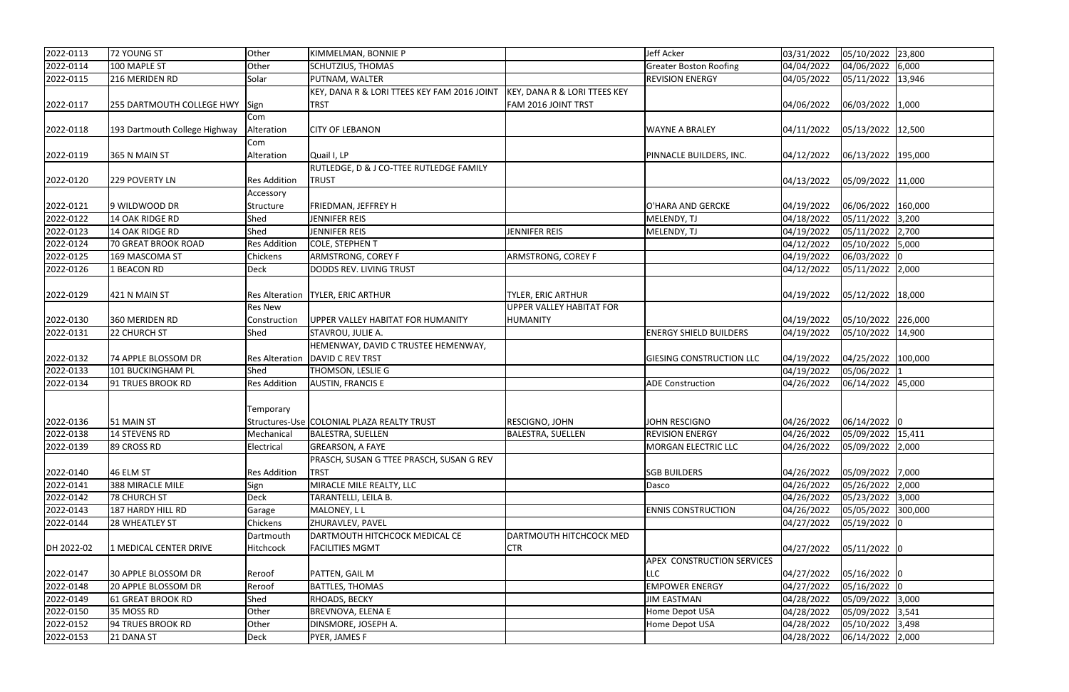| 2022-0113  | 72 YOUNG ST                      | Other                 | KIMMELMAN, BONNIE P                         |                                         | Jeff Acker                        | 03/31/2022 | 05/10/2022 23,800  |  |
|------------|----------------------------------|-----------------------|---------------------------------------------|-----------------------------------------|-----------------------------------|------------|--------------------|--|
| 2022-0114  | 100 MAPLE ST                     | Other                 | <b>SCHUTZIUS, THOMAS</b>                    |                                         | <b>Greater Boston Roofing</b>     | 04/04/2022 | 04/06/2022 6,000   |  |
| 2022-0115  | 216 MERIDEN RD                   | Solar                 | PUTNAM, WALTER                              |                                         | <b>REVISION ENERGY</b>            | 04/05/2022 | 05/11/2022 13,946  |  |
|            |                                  |                       | KEY, DANA R & LORI TTEES KEY FAM 2016 JOINT | <b>KEY, DANA R &amp; LORI TTEES KEY</b> |                                   |            |                    |  |
| 2022-0117  | 255 DARTMOUTH COLLEGE HWY   Sign |                       | <b>TRST</b>                                 | FAM 2016 JOINT TRST                     |                                   | 04/06/2022 | 06/03/2022 1,000   |  |
|            |                                  | Com                   |                                             |                                         |                                   |            |                    |  |
| 2022-0118  | 193 Dartmouth College Highway    | Alteration            | <b>CITY OF LEBANON</b>                      |                                         | <b>WAYNE A BRALEY</b>             | 04/11/2022 | 05/13/2022 12,500  |  |
|            |                                  | Com                   |                                             |                                         |                                   |            |                    |  |
| 2022-0119  | 365 N MAIN ST                    | Alteration            | Quail I, LP                                 |                                         | PINNACLE BUILDERS, INC.           | 04/12/2022 | 06/13/2022 195,000 |  |
|            |                                  |                       | RUTLEDGE, D & J CO-TTEE RUTLEDGE FAMILY     |                                         |                                   |            |                    |  |
| 2022-0120  | 229 POVERTY LN                   | <b>Res Addition</b>   | <b>TRUST</b>                                |                                         |                                   | 04/13/2022 | 05/09/2022 11,000  |  |
|            |                                  | Accessory             |                                             |                                         |                                   |            |                    |  |
| 2022-0121  | 9 WILDWOOD DR                    | Structure             | FRIEDMAN, JEFFREY H                         |                                         | O'HARA AND GERCKE                 | 04/19/2022 | 06/06/2022 160,000 |  |
| 2022-0122  | 14 OAK RIDGE RD                  | Shed                  | JENNIFER REIS                               |                                         | MELENDY, TJ                       | 04/18/2022 | 05/11/2022 3,200   |  |
| 2022-0123  | 14 OAK RIDGE RD                  | Shed                  | JENNIFER REIS                               | JENNIFER REIS                           | MELENDY, TJ                       | 04/19/2022 | 05/11/2022 2,700   |  |
| 2022-0124  | 70 GREAT BROOK ROAD              | <b>Res Addition</b>   | COLE, STEPHEN T                             |                                         |                                   | 04/12/2022 | 05/10/2022 5,000   |  |
| 2022-0125  | 169 MASCOMA ST                   | Chickens              | ARMSTRONG, COREY F                          | ARMSTRONG, COREY F                      |                                   | 04/19/2022 | 06/03/2022 0       |  |
| 2022-0126  | 1 BEACON RD                      | <b>Deck</b>           | DODDS REV. LIVING TRUST                     |                                         |                                   | 04/12/2022 | 05/11/2022 2,000   |  |
|            |                                  |                       |                                             |                                         |                                   |            |                    |  |
| 2022-0129  | 421 N MAIN ST                    |                       | Res Alteration   TYLER, ERIC ARTHUR         | <b>TYLER, ERIC ARTHUR</b>               |                                   | 04/19/2022 | 05/12/2022 18,000  |  |
|            |                                  | <b>Res New</b>        |                                             | UPPER VALLEY HABITAT FOR                |                                   |            |                    |  |
| 2022-0130  | 360 MERIDEN RD                   | Construction          | UPPER VALLEY HABITAT FOR HUMANITY           | <b>HUMANITY</b>                         |                                   | 04/19/2022 | 05/10/2022 226,000 |  |
| 2022-0131  | 22 CHURCH ST                     | Shed                  | STAVROU, JULIE A.                           |                                         | <b>ENERGY SHIELD BUILDERS</b>     | 04/19/2022 | 05/10/2022 14,900  |  |
|            |                                  |                       | HEMENWAY, DAVID C TRUSTEE HEMENWAY,         |                                         |                                   |            |                    |  |
| 2022-0132  | 74 APPLE BLOSSOM DR              | <b>Res Alteration</b> | <b>DAVID C REV TRST</b>                     |                                         | <b>GIESING CONSTRUCTION LLC</b>   | 04/19/2022 | 04/25/2022 100,000 |  |
| 2022-0133  | 101 BUCKINGHAM PL                | Shed                  | THOMSON, LESLIE G                           |                                         |                                   | 04/19/2022 | 05/06/2022 1       |  |
| 2022-0134  | 91 TRUES BROOK RD                | <b>Res Addition</b>   | <b>AUSTIN, FRANCIS E</b>                    |                                         | <b>ADE</b> Construction           | 04/26/2022 | 06/14/2022 45,000  |  |
|            |                                  |                       |                                             |                                         |                                   |            |                    |  |
|            |                                  | Temporary             |                                             |                                         |                                   |            |                    |  |
| 2022-0136  | 51 MAIN ST                       |                       | Structures-Use COLONIAL PLAZA REALTY TRUST  | RESCIGNO, JOHN                          | <b>JOHN RESCIGNO</b>              | 04/26/2022 | 06/14/2022 0       |  |
| 2022-0138  | 14 STEVENS RD                    | Mechanical            | <b>BALESTRA, SUELLEN</b>                    | BALESTRA, SUELLEN                       | <b>REVISION ENERGY</b>            | 04/26/2022 | 05/09/2022 15,411  |  |
| 2022-0139  | 89 CROSS RD                      | Electrical            | <b>GREARSON, A FAYE</b>                     |                                         | MORGAN ELECTRIC LLC               | 04/26/2022 | 05/09/2022 2,000   |  |
|            |                                  |                       | PRASCH, SUSAN G TTEE PRASCH, SUSAN G REV    |                                         |                                   |            |                    |  |
| 2022-0140  | 46 ELM ST                        | <b>Res Addition</b>   | <b>TRST</b>                                 |                                         | <b>SGB BUILDERS</b>               | 04/26/2022 | 05/09/2022 7,000   |  |
| 2022-0141  | 388 MIRACLE MILE                 | Sign                  | MIRACLE MILE REALTY, LLC                    |                                         | Dasco                             | 04/26/2022 | 05/26/2022 2,000   |  |
| 2022-0142  | <b>78 CHURCH ST</b>              | Deck                  | TARANTELLI, LEILA B.                        |                                         |                                   | 04/26/2022 | 05/23/2022 3,000   |  |
| 2022-0143  | 187 HARDY HILL RD                | Garage                | MALONEY, L L                                |                                         | <b>ENNIS CONSTRUCTION</b>         | 04/26/2022 | 05/05/2022 300,000 |  |
| 2022-0144  | 28 WHEATLEY ST                   | Chickens              | ZHURAVLEV, PAVEL                            |                                         |                                   | 04/27/2022 | 05/19/2022 0       |  |
|            |                                  | Dartmouth             | DARTMOUTH HITCHCOCK MEDICAL CE              | DARTMOUTH HITCHCOCK MED                 |                                   |            |                    |  |
| DH 2022-02 | 1 MEDICAL CENTER DRIVE           | Hitchcock             | <b>FACILITIES MGMT</b>                      | <b>CTR</b>                              |                                   | 04/27/2022 | 05/11/2022 0       |  |
|            |                                  |                       |                                             |                                         | <b>APEX CONSTRUCTION SERVICES</b> |            |                    |  |
| 2022-0147  | 30 APPLE BLOSSOM DR              | Reroof                | PATTEN, GAIL M                              |                                         | <b>LLC</b>                        | 04/27/2022 | 05/16/2022 0       |  |
| 2022-0148  | 20 APPLE BLOSSOM DR              | Reroof                | <b>BATTLES, THOMAS</b>                      |                                         | <b>EMPOWER ENERGY</b>             | 04/27/2022 | 05/16/2022 0       |  |
| 2022-0149  | 61 GREAT BROOK RD                | Shed                  | RHOADS, BECKY                               |                                         | <b>JIM EASTMAN</b>                | 04/28/2022 | 05/09/2022 3,000   |  |
| 2022-0150  | 35 MOSS RD                       | Other                 | BREVNOVA, ELENA E                           |                                         | Home Depot USA                    | 04/28/2022 | 05/09/2022 3,541   |  |
| 2022-0152  | 94 TRUES BROOK RD                | Other                 | DINSMORE, JOSEPH A.                         |                                         | Home Depot USA                    | 04/28/2022 | 05/10/2022 3,498   |  |
| 2022-0153  | 21 DANA ST                       | Deck                  | PYER, JAMES F                               |                                         |                                   | 04/28/2022 | 06/14/2022 2,000   |  |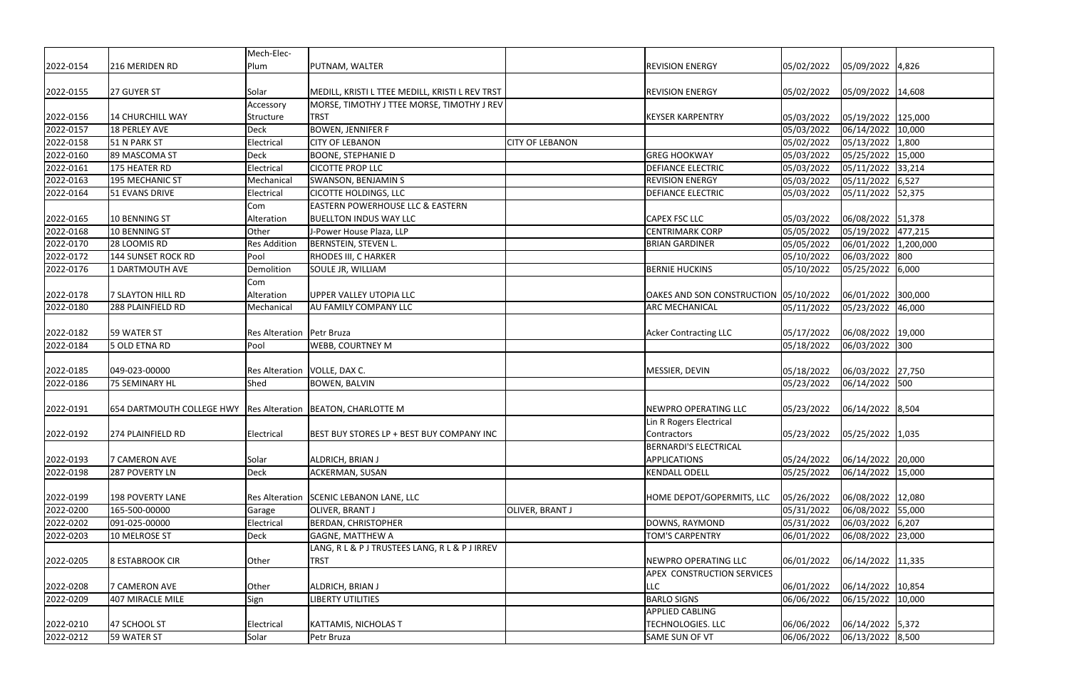|           |                                                                  | Mech-Elec-                  |                                                 |                        |                                       |                             |                      |  |
|-----------|------------------------------------------------------------------|-----------------------------|-------------------------------------------------|------------------------|---------------------------------------|-----------------------------|----------------------|--|
| 2022-0154 | 216 MERIDEN RD                                                   | Plum                        | PUTNAM, WALTER                                  |                        | <b>REVISION ENERGY</b>                | 05/02/2022                  | 05/09/2022 4,826     |  |
| 2022-0155 | 27 GUYER ST                                                      | Solar                       | MEDILL, KRISTI L TTEE MEDILL, KRISTI L REV TRST |                        | <b>REVISION ENERGY</b>                | 05/02/2022                  | 05/09/2022 14,608    |  |
|           |                                                                  | Accessory                   | MORSE, TIMOTHY J TTEE MORSE, TIMOTHY J REV      |                        |                                       |                             |                      |  |
| 2022-0156 | 14 CHURCHILL WAY                                                 | Structure                   | <b>TRST</b>                                     |                        | <b>KEYSER KARPENTRY</b>               | 05/03/2022                  | 05/19/2022 125,000   |  |
| 2022-0157 | 18 PERLEY AVE                                                    | Deck                        | <b>BOWEN, JENNIFER F</b>                        |                        |                                       | 05/03/2022                  | 06/14/2022 10,000    |  |
| 2022-0158 | 51 N PARK ST                                                     | Electrical                  | <b>CITY OF LEBANON</b>                          | <b>CITY OF LEBANON</b> |                                       | 05/02/2022                  | 05/13/2022 1,800     |  |
| 2022-0160 | 89 MASCOMA ST                                                    | Deck                        | <b>BOONE, STEPHANIE D</b>                       |                        | <b>GREG HOOKWAY</b>                   | 05/03/2022                  | 05/25/2022 15,000    |  |
| 2022-0161 | 175 HEATER RD                                                    | Electrical                  | <b>CICOTTE PROP LLC</b>                         |                        | <b>DEFIANCE ELECTRIC</b>              | 05/03/2022                  | 05/11/2022 33,214    |  |
| 2022-0163 | 195 MECHANIC ST                                                  | Mechanical                  | <b>SWANSON, BENJAMIN S</b>                      |                        | <b>REVISION ENERGY</b>                | 05/03/2022                  | 05/11/2022 6,527     |  |
| 2022-0164 | 51 EVANS DRIVE                                                   | Electrical                  | <b>CICOTTE HOLDINGS, LLC</b>                    |                        | <b>DEFIANCE ELECTRIC</b>              | 05/03/2022                  | 05/11/2022 52,375    |  |
|           |                                                                  | Com                         | <b>EASTERN POWERHOUSE LLC &amp; EASTERN</b>     |                        |                                       |                             |                      |  |
| 2022-0165 | 10 BENNING ST                                                    | Alteration                  | <b>BUELLTON INDUS WAY LLC</b>                   |                        | <b>CAPEX FSC LLC</b>                  | 05/03/2022                  | 06/08/2022 51,378    |  |
| 2022-0168 | 10 BENNING ST                                                    | Other                       | J-Power House Plaza, LLP                        |                        | <b>CENTRIMARK CORP</b>                | 05/05/2022                  | 05/19/2022 477,215   |  |
| 2022-0170 | 28 LOOMIS RD                                                     | <b>Res Addition</b>         | <b>BERNSTEIN, STEVEN L.</b>                     |                        | <b>BRIAN GARDINER</b>                 | 05/05/2022                  | 06/01/2022 1,200,000 |  |
| 2022-0172 | 144 SUNSET ROCK RD                                               | Pool                        | RHODES III, C HARKER                            |                        |                                       | 05/10/2022                  | 06/03/2022 800       |  |
| 2022-0176 | 1 DARTMOUTH AVE                                                  | Demolition                  | SOULE JR, WILLIAM                               |                        | <b>BERNIE HUCKINS</b>                 | 05/10/2022                  | 05/25/2022 6,000     |  |
|           |                                                                  | Com                         |                                                 |                        |                                       |                             |                      |  |
| 2022-0178 | 7 SLAYTON HILL RD                                                | Alteration                  | UPPER VALLEY UTOPIA LLC                         |                        | OAKES AND SON CONSTRUCTION 05/10/2022 |                             | 06/01/2022 300,000   |  |
| 2022-0180 | 288 PLAINFIELD RD                                                | Mechanical                  | <b>AU FAMILY COMPANY LLC</b>                    |                        | <b>ARC MECHANICAL</b>                 | 05/11/2022                  | 05/23/2022 46,000    |  |
| 2022-0182 | 59 WATER ST                                                      | Res Alteration   Petr Bruza |                                                 |                        | <b>Acker Contracting LLC</b>          | 05/17/2022                  | 06/08/2022 19,000    |  |
| 2022-0184 | 5 OLD ETNA RD                                                    | Pool                        | WEBB, COURTNEY M                                |                        |                                       | 05/18/2022                  | 06/03/2022 300       |  |
|           |                                                                  |                             |                                                 |                        |                                       |                             |                      |  |
| 2022-0185 | 049-023-00000                                                    |                             | Res Alteration   VOLLE, DAX C.                  |                        | MESSIER, DEVIN                        | 05/18/2022                  | 06/03/2022 27,750    |  |
| 2022-0186 | 75 SEMINARY HL                                                   | Shed                        | <b>BOWEN, BALVIN</b>                            |                        |                                       | 05/23/2022                  | 06/14/2022 500       |  |
|           |                                                                  |                             |                                                 |                        |                                       |                             |                      |  |
| 2022-0191 | 654 DARTMOUTH COLLEGE HWY   Res Alteration   BEATON, CHARLOTTE M |                             |                                                 |                        | NEWPRO OPERATING LLC                  | 05/23/2022                  | 06/14/2022 8,504     |  |
|           |                                                                  |                             |                                                 |                        | Lin R Rogers Electrical               |                             |                      |  |
| 2022-0192 | 274 PLAINFIELD RD                                                | Electrical                  | BEST BUY STORES LP + BEST BUY COMPANY INC       |                        | Contractors                           | 05/23/2022 05/25/2022 1,035 |                      |  |
|           |                                                                  |                             |                                                 |                        | <b>BERNARDI'S ELECTRICAL</b>          |                             |                      |  |
| 2022-0193 | 7 CAMERON AVE                                                    | Solar                       | ALDRICH, BRIAN J                                |                        | APPLICATIONS                          | 05/24/2022                  | 06/14/2022 20,000    |  |
| 2022-0198 | 287 POVERTY LN                                                   | Deck                        | <b>ACKERMAN, SUSAN</b>                          |                        | <b>KENDALL ODELL</b>                  | 05/25/2022                  | 06/14/2022 15,000    |  |
|           |                                                                  |                             |                                                 |                        |                                       |                             |                      |  |
| 2022-0199 | <b>198 POVERTY LANE</b>                                          |                             | Res Alteration SCENIC LEBANON LANE, LLC         |                        | HOME DEPOT/GOPERMITS, LLC             | 05/26/2022                  | 06/08/2022 12,080    |  |
| 2022-0200 | 165-500-00000                                                    | Garage                      | OLIVER, BRANT J                                 | OLIVER, BRANT J        |                                       | 05/31/2022                  | 06/08/2022 55,000    |  |
| 2022-0202 | 091-025-00000                                                    | Electrical                  | <b>BERDAN, CHRISTOPHER</b>                      |                        | DOWNS, RAYMOND                        | 05/31/2022                  | 06/03/2022 6,207     |  |
| 2022-0203 | 10 MELROSE ST                                                    | Deck                        | <b>GAGNE, MATTHEW A</b>                         |                        | <b>TOM'S CARPENTRY</b>                | 06/01/2022                  | 06/08/2022 23,000    |  |
|           |                                                                  |                             | LANG, R L & P J TRUSTEES LANG, R L & P J IRREV  |                        |                                       |                             |                      |  |
| 2022-0205 | 8 ESTABROOK CIR                                                  | Other                       | <b>TRST</b>                                     |                        | NEWPRO OPERATING LLC                  | 06/01/2022                  | 06/14/2022 11,335    |  |
|           |                                                                  |                             |                                                 |                        | <b>APEX CONSTRUCTION SERVICES</b>     |                             |                      |  |
| 2022-0208 | 7 CAMERON AVE                                                    | Other                       | ALDRICH, BRIAN J                                |                        | <b>LLC</b>                            | 06/01/2022                  | 06/14/2022 10,854    |  |
| 2022-0209 | 407 MIRACLE MILE                                                 | Sign                        | LIBERTY UTILITIES                               |                        | <b>BARLO SIGNS</b>                    | 06/06/2022                  | 06/15/2022 10,000    |  |
|           |                                                                  |                             |                                                 |                        | <b>APPLIED CABLING</b>                |                             |                      |  |
| 2022-0210 | 47 SCHOOL ST                                                     | Electrical                  | KATTAMIS, NICHOLAS T                            |                        | <b>TECHNOLOGIES. LLC</b>              | 06/06/2022                  | 06/14/2022 5,372     |  |
| 2022-0212 | 59 WATER ST                                                      | Solar                       | Petr Bruza                                      |                        | <b>SAME SUN OF VT</b>                 | 06/06/2022                  | 06/13/2022 8,500     |  |
|           |                                                                  |                             |                                                 |                        |                                       |                             |                      |  |